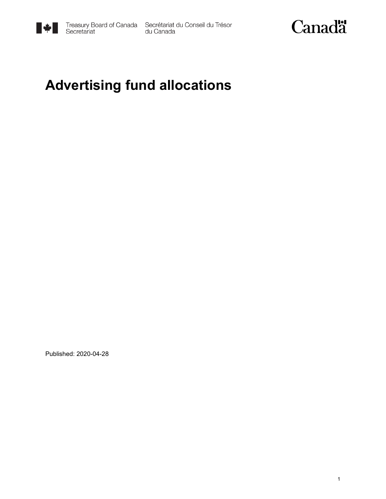

Treasury Board of Canada Secrétariat du Conseil du Trésor<br>Secretariat du Canada



### **Advertising fund allocations**

Published: 2020-04-28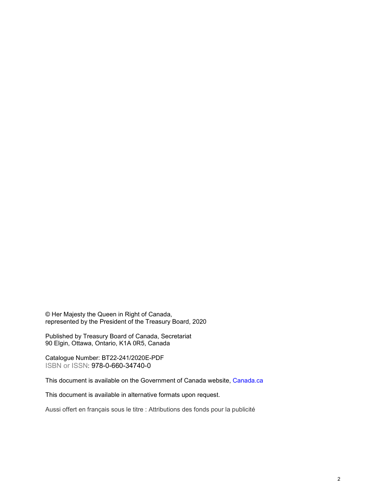© Her Majesty the Queen in Right of Canada, represented by the President of the Treasury Board, 2020

Published by Treasury Board of Canada, Secretariat 90 Elgin, Ottawa, Ontario, K1A 0R5, Canada

Catalogue Number: BT22-241/2020E-PDF ISBN or ISSN: 978-0-660-34740-0

This document is available on the Government of Canada website, [Canada.](https://www.canada.ca/en.html)ca

This document is available in alternative formats upon request.

Aussi offert en français sous le titre : Attributions des fonds pour la publicité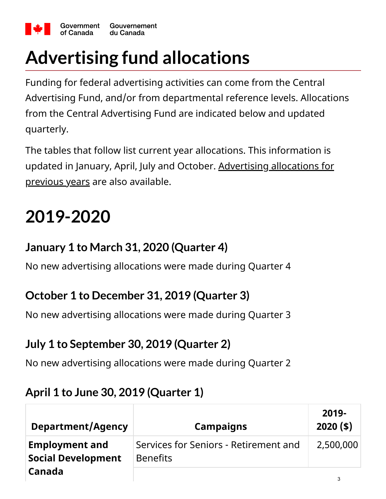

# **Advertising fund allocations**

Funding for federal advertising activities can come from the Central Advertising Fund, and/or from departmental reference levels. Allocations from the Central Advertising Fund are indicated below and updated quarterly.

The tables that follow list current year allocations. This information is [updated in January, April, July and October. Advertising allocations for](https://canada-preview.adobecqms.net/en/treasury-board-secretariat/services/government-communications/government-advertising/allocations-central-fund.html) previous years are also available.

## **2019-2020**

#### **January 1 to March 31, 2020 (Quarter 4)**

No new advertising allocations were made during Quarter 4

#### **October 1 to December 31, 2019 (Quarter 3)**

No new advertising allocations were made during Quarter 3

### **July 1 to September 30, 2019 (Quarter 2)**

No new advertising allocations were made during Quarter 2

#### **April 1 to June 30, 2019 (Quarter 1)**

| <b>Department/Agency</b>                           | <b>Campaigns</b>                                         | $2019 -$<br>$2020($ \$) |
|----------------------------------------------------|----------------------------------------------------------|-------------------------|
| <b>Employment and</b><br><b>Social Development</b> | Services for Seniors - Retirement and<br><b>Benefits</b> | 2,500,000               |
| Canada                                             |                                                          |                         |